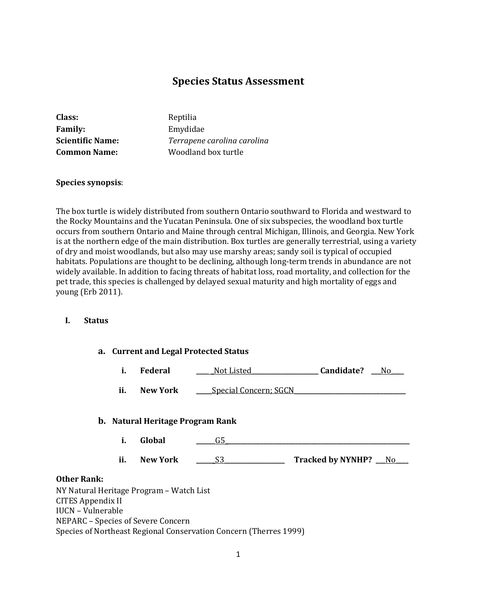# **Species Status Assessment**

| <b>Class:</b>           | Reptilia                    |
|-------------------------|-----------------------------|
| <b>Family:</b>          | Emydidae                    |
| <b>Scientific Name:</b> | Terrapene carolina carolina |
| <b>Common Name:</b>     | Woodland box turtle         |
|                         |                             |

#### **Species synopsis**:

The box turtle is widely distributed from southern Ontario southward to Florida and westward to the Rocky Mountains and the Yucatan Peninsula. One of six subspecies, the woodland box turtle occurs from southern Ontario and Maine through central Michigan, Illinois, and Georgia. New York is at the northern edge of the main distribution. Box turtles are generally terrestrial, using a variety of dry and moist woodlands, but also may use marshy areas; sandy soil is typical of occupied habitats. Populations are thought to be declining, although long-term trends in abundance are not widely available. In addition to facing threats of habitat loss, road mortality, and collection for the pet trade, this species is challenged by delayed sexual maturity and high mortality of eggs and young (Erb 2011).

## **I. Status**

|  | a. Current and Legal Protected Status |  |  |  |
|--|---------------------------------------|--|--|--|
|--|---------------------------------------|--|--|--|

|  | Federal | Not Listed | Candidate? | Nc |
|--|---------|------------|------------|----|
|--|---------|------------|------------|----|

**ii. New York \_\_\_\_**Special Concern; SGCN

#### **b. Natural Heritage Program Rank**

- **i. Global \_\_\_\_\_\_**G5**\_\_\_\_\_\_\_\_\_\_\_\_\_\_\_\_\_\_\_\_\_\_\_\_\_\_\_\_\_\_\_\_\_\_\_\_\_\_\_\_\_\_\_\_\_\_\_\_\_\_\_\_\_\_\_\_\_\_**
- **ii. New York \_\_\_\_\_\_**S3**\_\_\_\_\_\_\_\_\_\_\_\_\_\_\_\_\_\_\_ Tracked by NYNHP? \_\_\_**No**\_\_\_\_**

#### **Other Rank:**

NY Natural Heritage Program – Watch List CITES Appendix II IUCN – Vulnerable NEPARC – Species of Severe Concern Species of Northeast Regional Conservation Concern (Therres 1999)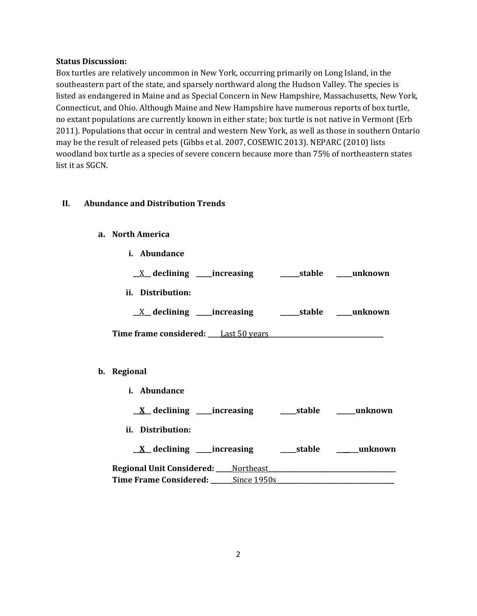#### **Status Discussion:**

Box turtles are relatively uncommon in New York, occurring primarily on Long Island, in the southeastern part of the state, and sparsely northward along the Hudson Valley. The species is listed as endangered in Maine and as Special Concern in New Hampshire, Massachusetts, New York, Connecticut, and Ohio. Although Maine and New Hampshire have numerous reports of box turtle, no extant populations are currently known in either state; box turtle is not native in Vermont (Erb 2011). Populations that occur in central and western New York, as well as those in southern Ontario may be the result of released pets (Gibbs et al. 2007, COSEWIC 2013). NEPARC (2010) lists woodland box turtle as a species of severe concern because more than 75% of northeastern states list it as SGCN.

## **II. Abundance and Distribution Trends**

## **a. North America**

**b. Regional** 

| <u>_X</u> _declining ____increasing ________stable ____unknown<br><u>_X</u> _declining ____increasing ________stable ____unknown |
|----------------------------------------------------------------------------------------------------------------------------------|
|                                                                                                                                  |
|                                                                                                                                  |
|                                                                                                                                  |
|                                                                                                                                  |
|                                                                                                                                  |
|                                                                                                                                  |
|                                                                                                                                  |
| $\underline{X}$ declining ____increasing _________stable _______unknown                                                          |
|                                                                                                                                  |
|                                                                                                                                  |
| Regional Unit Considered: Mortheast                                                                                              |
|                                                                                                                                  |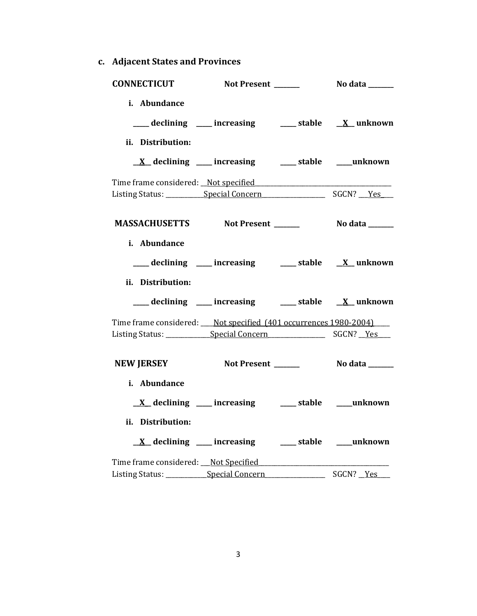**c. Adjacent States and Provinces**

| <b>CONNECTICUT</b>                                                       | Not Present ______                                              | No data _______ |
|--------------------------------------------------------------------------|-----------------------------------------------------------------|-----------------|
| i. Abundance<br>ii. Distribution:                                        | ___ declining ___ increasing ___ stable __ X_unknown            |                 |
|                                                                          | $\underline{X}$ declining ___ increasing ___ stable ___ unknown |                 |
|                                                                          |                                                                 |                 |
| MASSACHUSETTS Not Present ______                                         |                                                                 | No data _______ |
| i. Abundance<br>ii. Distribution:                                        | ___ declining ___ increasing ___ stable __ X_unknown            |                 |
|                                                                          | ___ declining ___ increasing ___ stable __ X_unknown            |                 |
| Time frame considered: ___ Not specified (401 occurrences 1980-2004) ___ |                                                                 |                 |
| NEW JERSEY Not Present _______ No data ______                            |                                                                 |                 |
| i. Abundance<br>ii. Distribution:                                        | $\underline{X}$ declining ___ increasing ___ stable ___ unknown |                 |
|                                                                          | $\underline{X}$ declining ___ increasing ___ stable ___ unknown |                 |
| Listing Status: Special Concern                                          |                                                                 | SGCN? Yes       |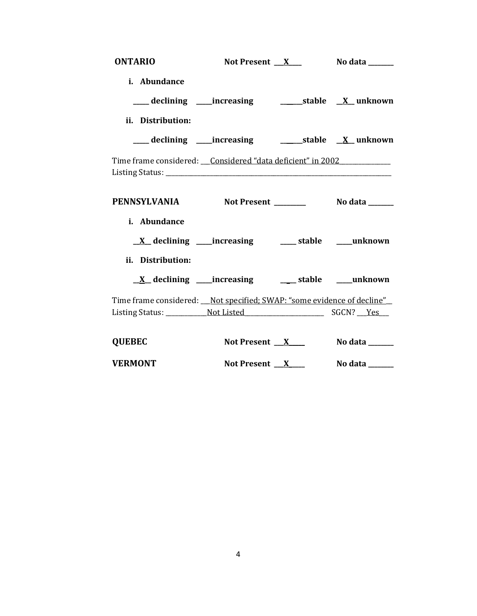| <b>ONTARIO</b>                                                           | Not Present <u>X</u> No data _____ |                                 |
|--------------------------------------------------------------------------|------------------------------------|---------------------------------|
| i. Abundance                                                             |                                    |                                 |
|                                                                          |                                    |                                 |
| ii. Distribution:                                                        |                                    |                                 |
|                                                                          |                                    |                                 |
| Time frame considered: Considered "data deficient" in 2002               |                                    |                                 |
| PENNSYLVANIA Not Present No data _____                                   |                                    |                                 |
| i. Abundance                                                             |                                    |                                 |
|                                                                          |                                    |                                 |
| ii. Distribution:                                                        |                                    |                                 |
|                                                                          |                                    |                                 |
| Time frame considered: __Not specified; SWAP: "some evidence of decline" |                                    |                                 |
|                                                                          |                                    |                                 |
| <b>QUEBEC</b>                                                            |                                    | Not Present $X$ No data _______ |
| <b>VERMONT</b>                                                           |                                    | Not Present $X$ No data _______ |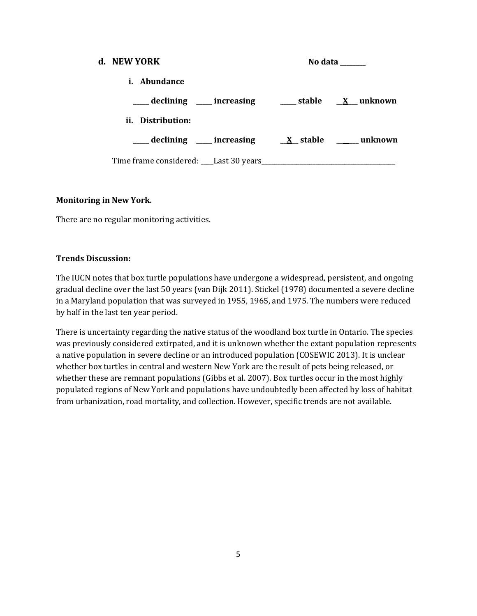| d. NEW YORK                                                                                                                             |  | No data ______ |
|-----------------------------------------------------------------------------------------------------------------------------------------|--|----------------|
| <i>i.</i> Abundance                                                                                                                     |  |                |
| ____ declining ____ increasing _____ stable __ <u>X</u> __ unknown                                                                      |  |                |
| ii. Distribution:                                                                                                                       |  |                |
| $\frac{1}{\sqrt{1-x^2}}$ declining $\frac{1}{\sqrt{1-x^2}}$ increasing $\frac{1}{\sqrt{1-x^2}}$ stable $\frac{1}{\sqrt{1-x^2}}$ unknown |  |                |
| Time frame considered: Last 30 years                                                                                                    |  |                |

## **Monitoring in New York.**

There are no regular monitoring activities.

#### **Trends Discussion:**

The IUCN notes that box turtle populations have undergone a widespread, persistent, and ongoing gradual decline over the last 50 years (van Dijk 2011). Stickel (1978) documented a severe decline in a Maryland population that was surveyed in 1955, 1965, and 1975. The numbers were reduced by half in the last ten year period.

There is uncertainty regarding the native status of the woodland box turtle in Ontario. The species was previously considered extirpated, and it is unknown whether the extant population represents a native population in severe decline or an introduced population (COSEWIC 2013). It is unclear whether box turtles in central and western New York are the result of pets being released, or whether these are remnant populations (Gibbs et al. 2007). Box turtles occur in the most highly populated regions of New York and populations have undoubtedly been affected by loss of habitat from urbanization, road mortality, and collection. However, specific trends are not available.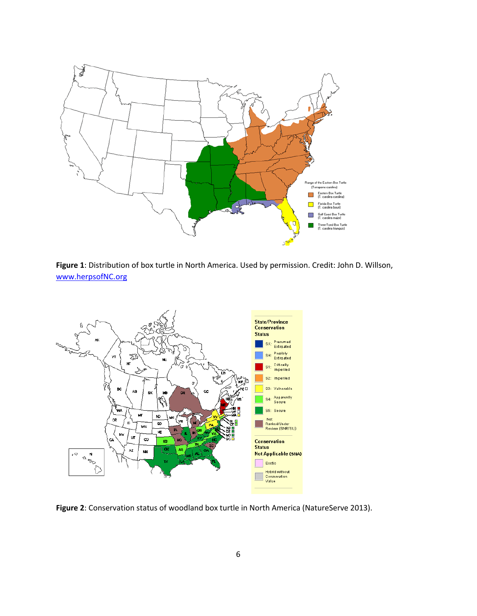

**Figure 1**: Distribution of box turtle in North America. Used by permission. Credit: John D. Willson, [www.herpsofNC.org](http://www.herpsofnc.org/)



**Figure 2**: Conservation status of woodland box turtle in North America (NatureServe 2013).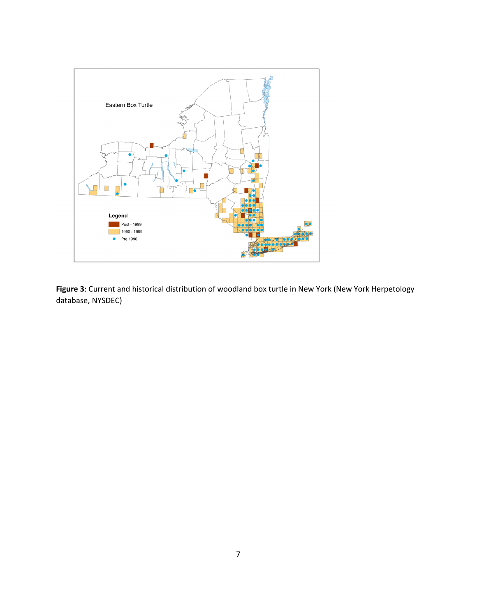

**Figure 3**: Current and historical distribution of woodland box turtle in New York (New York Herpetology database, NYSDEC)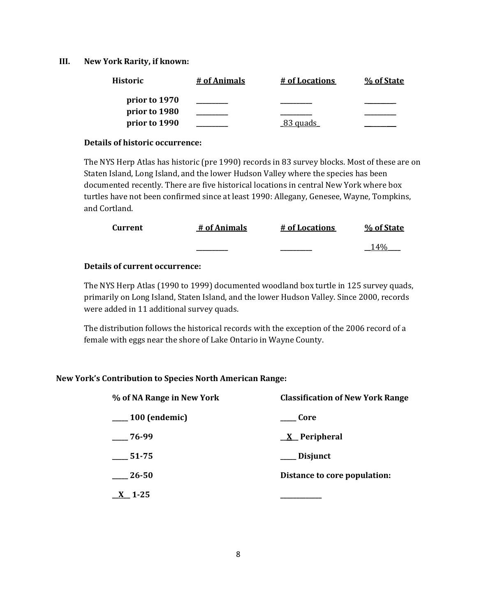#### **III. New York Rarity, if known:**

| <b>Historic</b> | # of Animals | # of Locations        | % of State |
|-----------------|--------------|-----------------------|------------|
| prior to 1970   |              |                       |            |
| prior to 1980   |              |                       |            |
| prior to 1990   |              | <sub>-</sub> 83 quads |            |

#### **Details of historic occurrence:**

The NYS Herp Atlas has historic (pre 1990) records in 83 survey blocks. Most of these are on Staten Island, Long Island, and the lower Hudson Valley where the species has been documented recently. There are five historical locations in central New York where box turtles have not been confirmed since at least 1990: Allegany, Genesee, Wayne, Tompkins, and Cortland.

| Current | # of Animals | # of Locations | % of State |
|---------|--------------|----------------|------------|
|         | _______      | _________      | 14%        |

# **Details of current occurrence:**

The NYS Herp Atlas (1990 to 1999) documented woodland box turtle in 125 survey quads, primarily on Long Island, Staten Island, and the lower Hudson Valley. Since 2000, records were added in 11 additional survey quads.

The distribution follows the historical records with the exception of the 2006 record of a female with eggs near the shore of Lake Ontario in Wayne County.

## **New York's Contribution to Species North American Range:**

| % of NA Range in New York | <b>Classification of New York Range</b> |
|---------------------------|-----------------------------------------|
| $\frac{100}{2}$ (endemic) | Core                                    |
| $-76-99$                  | <u>X</u> Peripheral                     |
| $-51-75$                  | ___ Disjunct                            |
| 26-50                     | Distance to core population:            |
| $1 - 25$                  |                                         |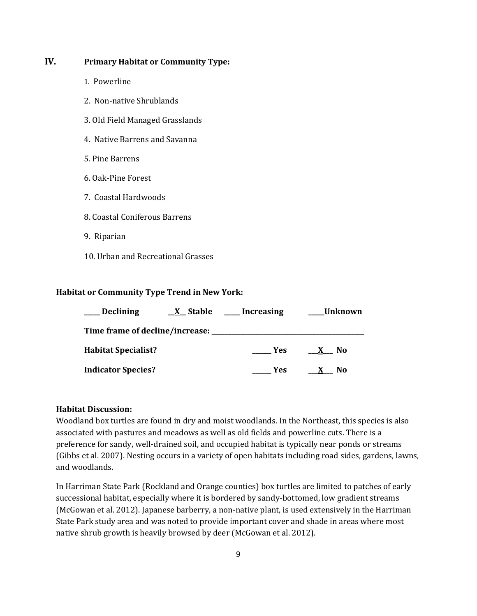# **IV. Primary Habitat or Community Type:**

- 1. Powerline
- 2. Non-native Shrublands
- 3. Old Field Managed Grasslands
- 4. Native Barrens and Savanna
- 5. Pine Barrens
- 6. Oak-Pine Forest
- 7. Coastal Hardwoods
- 8. Coastal Coniferous Barrens
- 9. Riparian
- 10. Urban and Recreational Grasses

## **Habitat or Community Type Trend in New York:**

| <b>Declining</b>                                | <u>X</u> Stable | Increasing | <b>Unknown</b>      |
|-------------------------------------------------|-----------------|------------|---------------------|
| Time frame of decline/increase: _______________ |                 |            |                     |
| <b>Habitat Specialist?</b>                      |                 | Yes        | No.<br>$\mathbf{X}$ |
| <b>Indicator Species?</b>                       |                 | Yes        | No.<br>$\mathbf{x}$ |

#### **Habitat Discussion:**

Woodland box turtles are found in dry and moist woodlands. In the Northeast, this species is also associated with pastures and meadows as well as old fields and powerline cuts. There is a preference for sandy, well-drained soil, and occupied habitat is typically near ponds or streams (Gibbs et al. 2007). Nesting occurs in a variety of open habitats including road sides, gardens, lawns, and woodlands.

In Harriman State Park (Rockland and Orange counties) box turtles are limited to patches of early successional habitat, especially where it is bordered by sandy-bottomed, low gradient streams (McGowan et al. 2012). Japanese barberry, a non-native plant, is used extensively in the Harriman State Park study area and was noted to provide important cover and shade in areas where most native shrub growth is heavily browsed by deer (McGowan et al. 2012).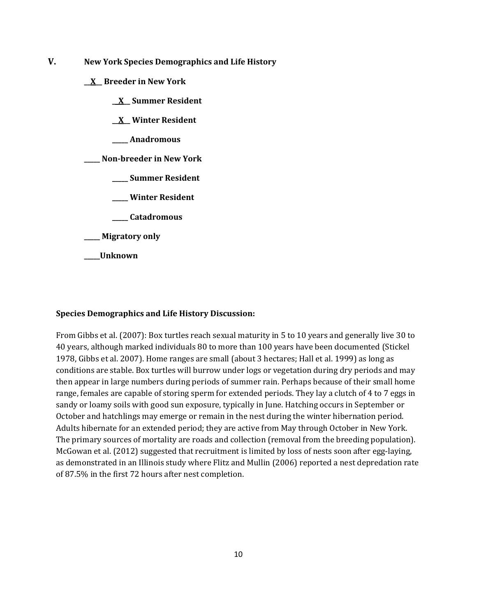- **V. New York Species Demographics and Life History**
	- **\_\_X\_\_ Breeder in New York**
		- **\_\_X\_\_ Summer Resident**
		- **\_\_X\_\_ Winter Resident**
		- **\_\_\_\_\_ Anadromous**

**\_\_\_\_\_ Non-breeder in New York**

- **\_\_\_\_\_ Summer Resident**
- **\_\_\_\_\_ Winter Resident**
- **\_\_\_\_\_ Catadromous**
- **\_\_\_\_\_ Migratory only**
- **\_\_\_\_\_Unknown**

#### **Species Demographics and Life History Discussion:**

From Gibbs et al. (2007): Box turtles reach sexual maturity in 5 to 10 years and generally live 30 to 40 years, although marked individuals 80 to more than 100 years have been documented (Stickel 1978, Gibbs et al. 2007). Home ranges are small (about 3 hectares; Hall et al. 1999) as long as conditions are stable. Box turtles will burrow under logs or vegetation during dry periods and may then appear in large numbers during periods of summer rain. Perhaps because of their small home range, females are capable of storing sperm for extended periods. They lay a clutch of 4 to 7 eggs in sandy or loamy soils with good sun exposure, typically in June. Hatching occurs in September or October and hatchlings may emerge or remain in the nest during the winter hibernation period. Adults hibernate for an extended period; they are active from May through October in New York. The primary sources of mortality are roads and collection (removal from the breeding population). McGowan et al. (2012) suggested that recruitment is limited by loss of nests soon after egg-laying, as demonstrated in an Illinois study where Flitz and Mullin (2006) reported a nest depredation rate of 87.5% in the first 72 hours after nest completion.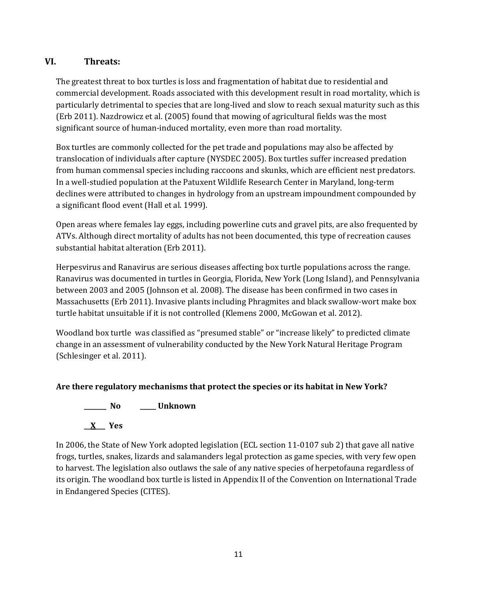# **VI. Threats:**

The greatest threat to box turtles is loss and fragmentation of habitat due to residential and commercial development. Roads associated with this development result in road mortality, which is particularly detrimental to species that are long-lived and slow to reach sexual maturity such as this (Erb 2011). Nazdrowicz et al. (2005) found that mowing of agricultural fields was the most significant source of human-induced mortality, even more than road mortality.

Box turtles are commonly collected for the pet trade and populations may also be affected by translocation of individuals after capture (NYSDEC 2005). Box turtles suffer increased predation from human commensal species including raccoons and skunks, which are efficient nest predators. In a well-studied population at the Patuxent Wildlife Research Center in Maryland, long-term declines were attributed to changes in hydrology from an upstream impoundment compounded by a significant flood event (Hall et al. 1999).

Open areas where females lay eggs, including powerline cuts and gravel pits, are also frequented by ATVs. Although direct mortality of adults has not been documented, this type of recreation causes substantial habitat alteration (Erb 2011).

Herpesvirus and Ranavirus are serious diseases affecting box turtle populations across the range. Ranavirus was documented in turtles in Georgia, Florida, New York (Long Island), and Pennsylvania between 2003 and 2005 (Johnson et al. 2008). The disease has been confirmed in two cases in Massachusetts (Erb 2011). Invasive plants including Phragmites and black swallow-wort make box turtle habitat unsuitable if it is not controlled (Klemens 2000, McGowan et al. 2012).

Woodland box turtle was classified as "presumed stable" or "increase likely" to predicted climate change in an assessment of vulnerability conducted by the New York Natural Heritage Program (Schlesinger et al. 2011).

# **Are there regulatory mechanisms that protect the species or its habitat in New York?**

**\_\_\_\_\_\_\_ No \_\_\_\_\_ Unknown**



In 2006, the State of New York adopted legislation (ECL section 11-0107 sub 2) that gave all native frogs, turtles, snakes, lizards and salamanders legal protection as game species, with very few open to harvest. The legislation also outlaws the sale of any native species of herpetofauna regardless of its origin. The woodland box turtle is listed in Appendix II of the Convention on International Trade in Endangered Species (CITES).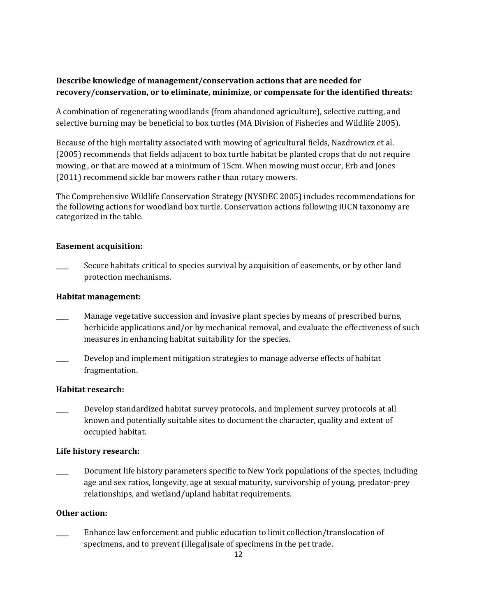# **Describe knowledge of management/conservation actions that are needed for recovery/conservation, or to eliminate, minimize, or compensate for the identified threats:**

A combination of regenerating woodlands (from abandoned agriculture), selective cutting, and selective burning may be beneficial to box turtles (MA Division of Fisheries and Wildlife 2005).

Because of the high mortality associated with mowing of agricultural fields, Nazdrowicz et al. (2005) recommends that fields adjacent to box turtle habitat be planted crops that do not require mowing , or that are mowed at a minimum of 15cm. When mowing must occur, Erb and Jones (2011) recommend sickle bar mowers rather than rotary mowers.

The Comprehensive Wildlife Conservation Strategy (NYSDEC 2005) includes recommendations for the following actions for woodland box turtle. Conservation actions following IUCN taxonomy are categorized in the table.

# **Easement acquisition:**

Secure habitats critical to species survival by acquisition of easements, or by other land protection mechanisms.

## **Habitat management:**

- Manage vegetative succession and invasive plant species by means of prescribed burns, herbicide applications and/or by mechanical removal, and evaluate the effectiveness of such measures in enhancing habitat suitability for the species.
- Develop and implement mitigation strategies to manage adverse effects of habitat fragmentation.

## **Habitat research:**

Develop standardized habitat survey protocols, and implement survey protocols at all known and potentially suitable sites to document the character, quality and extent of occupied habitat.

## **Life history research:**

Document life history parameters specific to New York populations of the species, including age and sex ratios, longevity, age at sexual maturity, survivorship of young, predator-prey relationships, and wetland/upland habitat requirements.

# **Other action:**

\_\_\_\_ Enhance law enforcement and public education to limit collection/translocation of specimens, and to prevent (illegal)sale of specimens in the pet trade.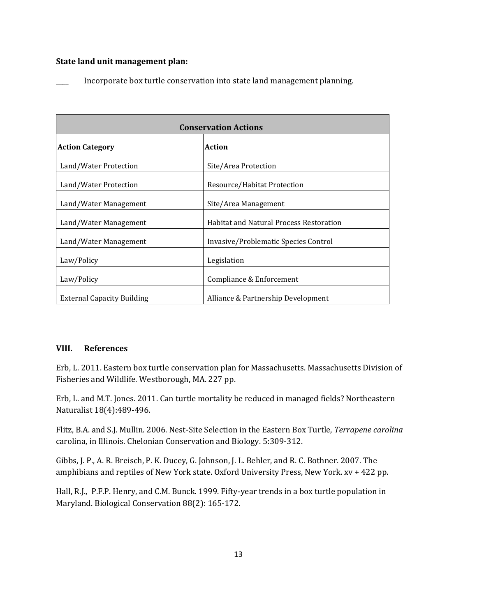#### **State land unit management plan:**

Incorporate box turtle conservation into state land management planning.

| <b>Conservation Actions</b>       |                                                |  |
|-----------------------------------|------------------------------------------------|--|
| <b>Action Category</b>            | <b>Action</b>                                  |  |
| Land/Water Protection             | Site/Area Protection                           |  |
| Land/Water Protection             | Resource/Habitat Protection                    |  |
| Land/Water Management             | Site/Area Management                           |  |
| Land/Water Management             | <b>Habitat and Natural Process Restoration</b> |  |
| Land/Water Management             | Invasive/Problematic Species Control           |  |
| Law/Policy                        | Legislation                                    |  |
| Law/Policy                        | Compliance & Enforcement                       |  |
| <b>External Capacity Building</b> | Alliance & Partnership Development             |  |

#### **VIII. References**

Erb, L. 2011. Eastern box turtle conservation plan for Massachusetts. Massachusetts Division of Fisheries and Wildlife. Westborough, MA. 227 pp.

Erb, L. and M.T. Jones. 2011. Can turtle mortality be reduced in managed fields? Northeastern Naturalist 18(4):489-496.

Flitz, B.A. and S.J. Mullin. 2006. Nest-Site Selection in the Eastern Box Turtle, *Terrapene carolina* carolina, in Illinois. Chelonian Conservation and Biology. 5:309-312.

Gibbs, J. P., A. R. Breisch, P. K. Ducey, G. Johnson, J. L. Behler, and R. C. Bothner. 2007. The amphibians and reptiles of New York state. Oxford University Press, New York. xv + 422 pp.

Hall, R.J., P.F.P. Henry, and C.M. Bunck. 1999. Fifty-year trends in a box turtle population in Maryland. Biological Conservation 88(2): 165-172.